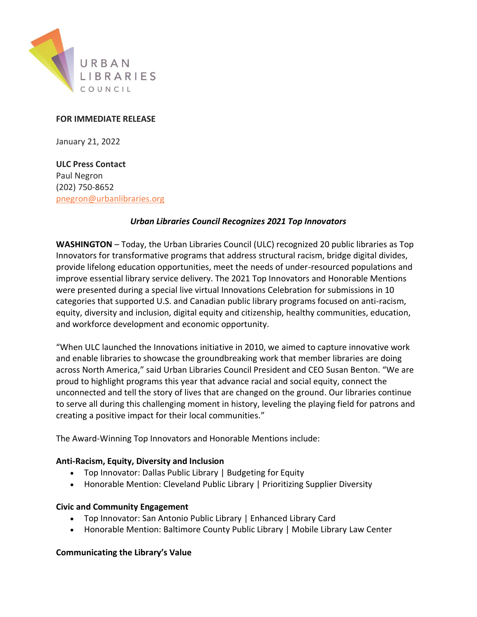

### **FOR IMMEDIATE RELEASE**

January 21, 2022

**ULC Press Contact** Paul Negron (202) 750-8652 [pnegron@urbanlibraries.org](mailto:pnegron@urbanlibraries.org)

#### *Urban Libraries Council Recognizes 2021 Top Innovators*

**WASHINGTON** – Today, the Urban Libraries Council (ULC) recognized 20 public libraries as Top Innovators for transformative programs that address structural racism, bridge digital divides, provide lifelong education opportunities, meet the needs of under-resourced populations and improve essential library service delivery. The 2021 Top Innovators and Honorable Mentions were presented during a special live virtual Innovations Celebration for submissions in 10 categories that supported U.S. and Canadian public library programs focused on anti-racism, equity, diversity and inclusion, digital equity and citizenship, healthy communities, education, and workforce development and economic opportunity.

"When ULC launched the Innovations initiative in 2010, we aimed to capture innovative work and enable libraries to showcase the groundbreaking work that member libraries are doing across North America," said Urban Libraries Council President and CEO Susan Benton. "We are proud to highlight programs this year that advance racial and social equity, connect the unconnected and tell the story of lives that are changed on the ground. Our libraries continue to serve all during this challenging moment in history, leveling the playing field for patrons and creating a positive impact for their local communities."

The Award-Winning Top Innovators and Honorable Mentions include:

#### **Anti-Racism, Equity, Diversity and Inclusion**

- Top Innovator: Dallas Public Library | Budgeting for Equity
- Honorable Mention: Cleveland Public Library | Prioritizing Supplier Diversity

#### **Civic and Community Engagement**

- Top Innovator: San Antonio Public Library | Enhanced Library Card
- Honorable Mention: Baltimore County Public Library | Mobile Library Law Center

#### **Communicating the Library's Value**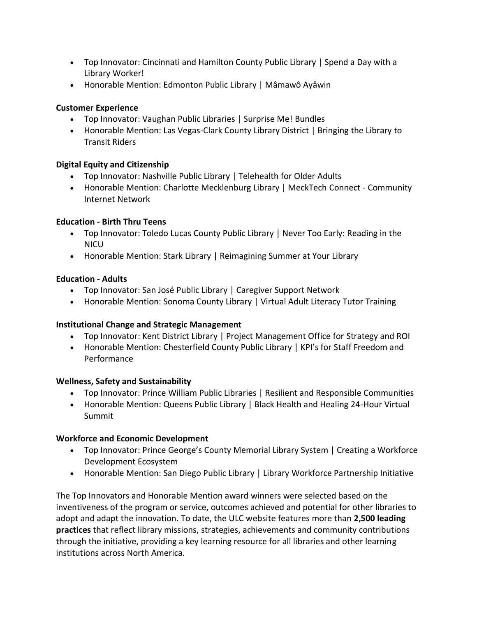- Top Innovator: Cincinnati and Hamilton County Public Library | Spend a Day with a Library Worker!
- Honorable Mention: Edmonton Public Library | Mâmawô Ayâwin

## **Customer Experience**

- Top Innovator: Vaughan Public Libraries | Surprise Me! Bundles
- Honorable Mention: Las Vegas-Clark County Library District | Bringing the Library to Transit Riders

# **Digital Equity and Citizenship**

- Top Innovator: Nashville Public Library | Telehealth for Older Adults
- Honorable Mention: Charlotte Mecklenburg Library | MeckTech Connect Community Internet Network

## **Education - Birth Thru Teens**

- Top Innovator: Toledo Lucas County Public Library | Never Too Early: Reading in the **NICU**
- Honorable Mention: Stark Library | Reimagining Summer at Your Library

# **Education - Adults**

- Top Innovator: San José Public Library | Caregiver Support Network
- Honorable Mention: Sonoma County Library | Virtual Adult Literacy Tutor Training

## **Institutional Change and Strategic Management**

- Top Innovator: Kent District Library | Project Management Office for Strategy and ROI
- Honorable Mention: Chesterfield County Public Library | KPI's for Staff Freedom and Performance

## **Wellness, Safety and Sustainability**

- Top Innovator: Prince William Public Libraries | Resilient and Responsible Communities
- Honorable Mention: Queens Public Library | Black Health and Healing 24-Hour Virtual Summit

## **Workforce and Economic Development**

- Top Innovator: Prince George's County Memorial Library System | Creating a Workforce Development Ecosystem
- Honorable Mention: San Diego Public Library | Library Workforce Partnership Initiative

The Top Innovators and Honorable Mention award winners were selected based on the inventiveness of the program or service, outcomes achieved and potential for other libraries to adopt and adapt the innovation. To date, the ULC website features more than **2,500 leading practices** that reflect library missions, strategies, achievements and community contributions through the initiative, providing a key learning resource for all libraries and other learning institutions across North America.